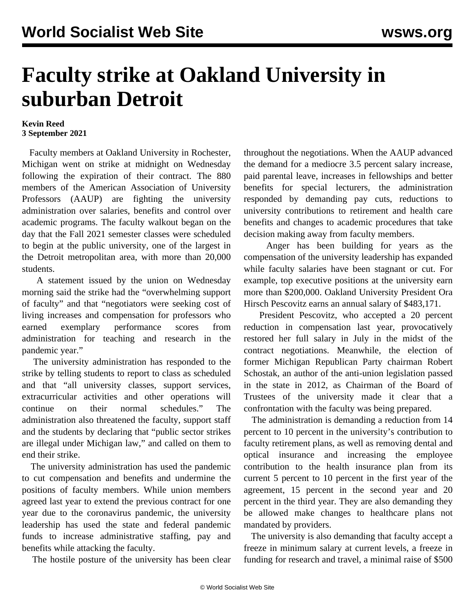## **Faculty strike at Oakland University in suburban Detroit**

## **Kevin Reed 3 September 2021**

 Faculty members at Oakland University in Rochester, Michigan went on strike at midnight on Wednesday following the expiration of their contract. The 880 members of the American Association of University Professors (AAUP) are fighting the university administration over salaries, benefits and control over academic programs. The faculty walkout began on the day that the Fall 2021 semester classes were scheduled to begin at the public university, one of the largest in the Detroit metropolitan area, with more than 20,000 students.

 A statement issued by the union on Wednesday morning said the strike had the "overwhelming support of faculty" and that "negotiators were seeking cost of living increases and compensation for professors who earned exemplary performance scores from administration for teaching and research in the pandemic year."

 The university administration has responded to the strike by telling students to report to class as scheduled and that "all university classes, support services, extracurricular activities and other operations will continue on their normal schedules." The administration also threatened the faculty, support staff and the students by declaring that "public sector strikes are illegal under Michigan law," and called on them to end their strike.

 The university administration has used the pandemic to cut compensation and benefits and undermine the positions of faculty members. While union members agreed last year to extend the previous contract for one year due to the coronavirus pandemic, the university leadership has used the state and federal pandemic funds to increase administrative staffing, pay and benefits while attacking the faculty.

The hostile posture of the university has been clear

throughout the negotiations. When the AAUP advanced the demand for a mediocre 3.5 percent salary increase, paid parental leave, increases in fellowships and better benefits for special lecturers, the administration responded by demanding pay cuts, reductions to university contributions to retirement and health care benefits and changes to academic procedures that take decision making away from faculty members.

 Anger has been building for years as the compensation of the university leadership has expanded while faculty salaries have been stagnant or cut. For example, top executive positions at the university earn more than \$200,000. Oakland University President Ora Hirsch Pescovitz earns an annual salary of \$483,171.

 President Pescovitz, who accepted a 20 percent reduction in compensation last year, provocatively restored her full salary in July in the midst of the contract negotiations. Meanwhile, the election of former Michigan Republican Party chairman Robert Schostak, an author of the anti-union legislation passed in the state in 2012, as Chairman of the Board of Trustees of the university made it clear that a confrontation with the faculty was being prepared.

 The administration is demanding a reduction from 14 percent to 10 percent in the university's contribution to faculty retirement plans, as well as removing dental and optical insurance and increasing the employee contribution to the health insurance plan from its current 5 percent to 10 percent in the first year of the agreement, 15 percent in the second year and 20 percent in the third year. They are also demanding they be allowed make changes to healthcare plans not mandated by providers.

 The university is also demanding that faculty accept a freeze in minimum salary at current levels, a freeze in funding for research and travel, a minimal raise of \$500